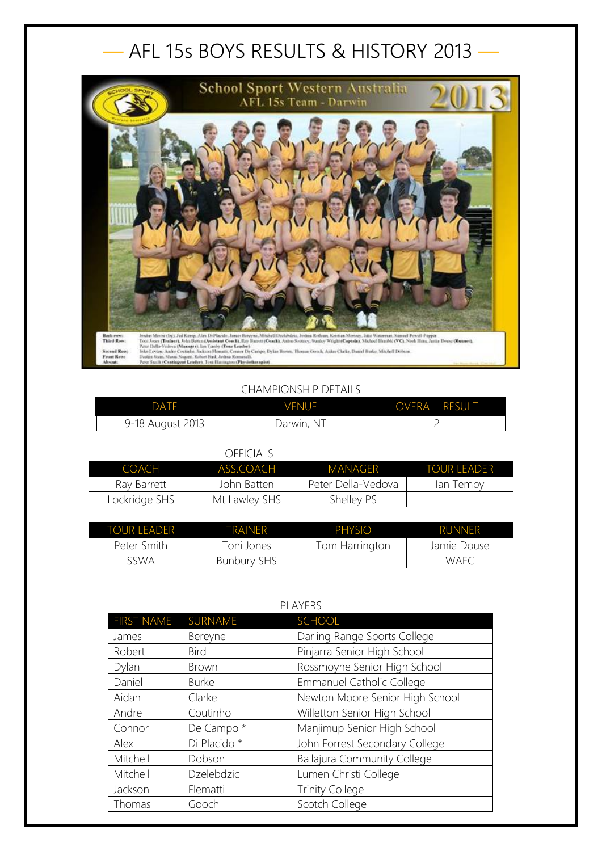## — AFL 15s BOYS RESULTS & HISTORY 2013 —



## CHAMPIONSHIP DETAILS

| <b>DATE</b>      | <b>VENUE</b> | <b>OVERALL RESULT</b> |
|------------------|--------------|-----------------------|
| 9-18 August 2013 | Darwin, NT   |                       |

## OFFICIALS

| COACH         | ASS COACH     | MANAGER            | <b>TOUR LEADER</b> |
|---------------|---------------|--------------------|--------------------|
| Ray Barrett   | John Batten   | Peter Della-Vedova | lan Temby          |
| Lockridge SHS | Mt Lawley SHS | Shelley PS         |                    |

| TOUR LEADER | TRAINFR            | PHYSIO         | <b>RUNNER</b> |
|-------------|--------------------|----------------|---------------|
| Peter Smith | Toni Jones         | Tom Harrington | Jamie Douse   |
| 5.SWA       | <b>Bunbury SHS</b> |                | <b>WAFC</b>   |

| PLAYERS           |              |                                    |
|-------------------|--------------|------------------------------------|
| <b>FIRST NAME</b> | SURNAME      | <b>SCHOOL</b>                      |
| James             | Bereyne      | Darling Range Sports College       |
| Robert            | <b>Bird</b>  | Pinjarra Senior High School        |
| Dylan             | <b>Brown</b> | Rossmoyne Senior High School       |
| Daniel            | <b>Burke</b> | <b>Emmanuel Catholic College</b>   |
| Aidan             | Clarke       | Newton Moore Senior High School    |
| Andre             | Coutinho     | Willetton Senior High School       |
| Connor            | De Campo *   | Manjimup Senior High School        |
| Alex              | Di Placido * | John Forrest Secondary College     |
| Mitchell          | Dobson       | <b>Ballajura Community College</b> |
| Mitchell          | Dzelebdzic   | Lumen Christi College              |
| Jackson           | Flematti     | <b>Trinity College</b>             |
| Thomas            | Gooch        | Scotch College                     |

## PLAYERS